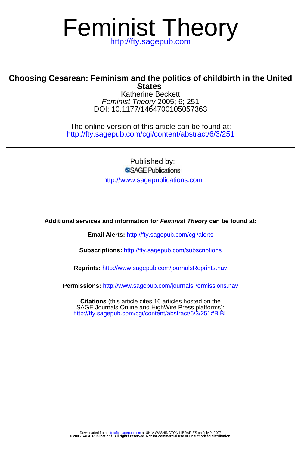# Feminist Theory

### **States Choosing Cesarean: Feminism and the politics of childbirth in the United**

DOI: 10.1177/1464700105057363 Feminist Theory 2005; 6; 251 Katherine Beckett

http://fty.sagepub.com/cgi/content/abstract/6/3/251 The online version of this article can be found at:

> Published by: SSAGE Publications http://www.sagepublications.com

**Additional services and information for Feminist Theory can be found at:**

**Email Alerts:** <http://fty.sagepub.com/cgi/alerts>

**Subscriptions:** <http://fty.sagepub.com/subscriptions>

**Reprints:** <http://www.sagepub.com/journalsReprints.nav>

**Permissions:** <http://www.sagepub.com/journalsPermissions.nav>

<http://fty.sagepub.com/cgi/content/abstract/6/3/251#BIBL> SAGE Journals Online and HighWire Press platforms): **Citations** (this article cites 16 articles hosted on the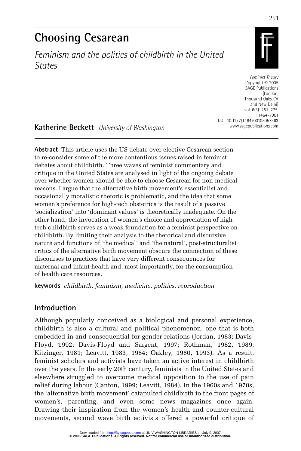# **Choosing Cesarean**

*Feminism and the politics of childbirth in the United States*

> *Feminist Theory* Copyright © 2005 SAGE Publications (London, Thousand Oaks, CA and New Delhi) vol. 6(3): 251–275. 1464–7001 DOI: 10.1177/1464700105057363 www.sagepublications.com

**Katherine Beckett** *University of Washington*

**Abstract** This article uses the US debate over elective Cesarean section to re-consider some of the more contentious issues raised in feminist debates about childbirth. Three waves of feminist commentary and critique in the United States are analysed in light of the ongoing debate over whether women should be able to choose Cesarean for non-medical reasons. I argue that the alternative birth movement's essentialist and occasionally moralistic rhetoric is problematic, and the idea that some women's preference for high-tech obstetrics is the result of a passive 'socialization' into 'dominant values' is theoretically inadequate. On the other hand, the invocation of women's choice and appreciation of hightech childbirth serves as a weak foundation for a feminist perspective on childbirth. By limiting their analysis to the rhetorical and discursive nature and functions of 'the medical' and 'the natural', post-structuralist critics of the alternative birth movement obscure the connection of these discourses to practices that have very different consequences for maternal and infant health and, most importantly, for the consumption of health care resources.

**keywords** *childbirth, feminism, medicine, politics, reproduction*

# **Introduction**

Although popularly conceived as a biological and personal experience, childbirth is also a cultural and political phenomenon, one that is both embedded in and consequential for gender relations (Jordan, 1983; Davis-Floyd, 1992; Davis-Floyd and Sargent, 1997; Rothman, 1982, 1989; Kitzinger, 1981; Leavitt, 1983, 1984; Oakley, 1980, 1993). As a result, feminist scholars and activists have taken an active interest in childbirth over the years. In the early 20th century, feminists in the United States and elsewhere struggled to overcome medical opposition to the use of pain relief during labour (Canton, 1999; Leavitt, 1984). In the 1960s and 1970s, the 'alternative birth movement' catapulted childbirth to the front pages of women's, parenting, and even some news magazines once again. Drawing their inspiration from the women's health and counter-cultural movements, second wave birth activists offered a powerful critique of

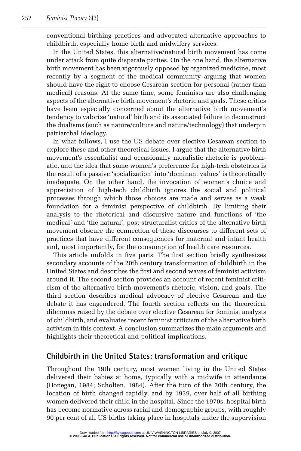conventional birthing practices and advocated alternative approaches to childbirth, especially home birth and midwifery services.

In the United States, this alternative/natural birth movement has come under attack from quite disparate parties. On the one hand, the alternative birth movement has been vigorously opposed by organized medicine, most recently by a segment of the medical community arguing that women should have the right to choose Cesarean section for personal (rather than medical) reasons. At the same time, some feminists are also challenging aspects of the alternative birth movement's rhetoric and goals. These critics have been especially concerned about the alternative birth movement's tendency to valorize 'natural' birth and its associated failure to deconstruct the dualisms (such as nature/culture and nature/technology) that underpin patriarchal ideology.

In what follows, I use the US debate over elective Cesarean section to explore these and other theoretical issues. I argue that the alternative birth movement's essentialist and occasionally moralistic rhetoric is problematic, and the idea that some women's preference for high-tech obstetrics is the result of a passive 'socialization' into 'dominant values' is theoretically inadequate. On the other hand, the invocation of women's choice and appreciation of high-tech childbirth ignores the social and political processes through which those choices are made and serves as a weak foundation for a feminist perspective of childbirth. By limiting their analysis to the rhetorical and discursive nature and functions of 'the medical' and 'the natural', post-structuralist critics of the alternative birth movement obscure the connection of these discourses to different sets of practices that have different consequences for maternal and infant health and, most importantly, for the consumption of health care resources.

This article unfolds in five parts. The first section briefly synthesizes secondary accounts of the 20th century transformation of childbirth in the United States and describes the first and second waves of feminist activism around it. The second section provides an account of recent feminist criticism of the alternative birth movement's rhetoric, vision, and goals. The third section describes medical advocacy of elective Cesarean and the debate it has engendered. The fourth section reflects on the theoretical dilemmas raised by the debate over elective Cesarean for feminist analysts of childbirth, and evaluates recent feminist criticism of the alternative birth activism in this context. A conclusion summarizes the main arguments and highlights their theoretical and political implications.

#### **Childbirth in the United States: transformation and critique**

Throughout the 19th century, most women living in the United States delivered their babies at home, typically with a midwife in attendance (Donegan, 1984; Scholten, 1984). After the turn of the 20th century, the location of birth changed rapidly, and by 1939, over half of all birthing women delivered their child in the hospital. Since the 1970s, hospital birth has become normative across racial and demographic groups, with roughly 90 per cent of all US births taking place in hospitals under the supervision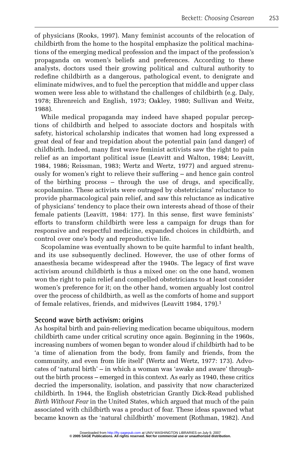of physicians (Rooks, 1997). Many feminist accounts of the relocation of childbirth from the home to the hospital emphasize the political machinations of the emerging medical profession and the impact of the profession's propaganda on women's beliefs and preferences. According to these analysts, doctors used their growing political and cultural authority to redefine childbirth as a dangerous, pathological event, to denigrate and eliminate midwives, and to fuel the perception that middle and upper class women were less able to withstand the challenges of childbirth (e.g. Daly, 1978; Ehrenreich and English, 1973; Oakley, 1980; Sullivan and Weitz, 1988).

While medical propaganda may indeed have shaped popular perceptions of childbirth and helped to associate doctors and hospitals with safety, historical scholarship indicates that women had long expressed a great deal of fear and trepidation about the potential pain (and danger) of childbirth. Indeed, many first wave feminist activists saw the right to pain relief as an important political issue (Leavitt and Walton, 1984; Leavitt, 1984, 1986; Reissman, 1983; Wertz and Wertz, 1977) and argued strenuously for women's right to relieve their suffering – and hence gain control of the birthing process – through the use of drugs, and specifically, scopolamine. These activists were outraged by obstetricians' reluctance to provide pharmacological pain relief, and saw this reluctance as indicative of physicians' tendency to place their own interests ahead of those of their female patients (Leavitt, 1984: 177). In this sense, first wave feminists' efforts to transform childbirth were less a campaign for drugs than for responsive and respectful medicine, expanded choices in childbirth, and control over one's body and reproductive life.

Scopolamine was eventually shown to be quite harmful to infant health, and its use subsequently declined. However, the use of other forms of anaesthesia became widespread after the 1940s. The legacy of first wave activism around childbirth is thus a mixed one: on the one hand, women won the right to pain relief and compelled obstetricians to at least consider women's preference for it; on the other hand, women arguably lost control over the process of childbirth, as well as the comforts of home and support of female relatives, friends, and midwives (Leavitt 1984, 179).<sup>1</sup>

#### **Second wave birth activism: origins**

As hospital birth and pain-relieving medication became ubiquitous, modern childbirth came under critical scrutiny once again. Beginning in the 1960s, increasing numbers of women began to wonder aloud if childbirth had to be 'a time of alienation from the body, from family and friends, from the community, and even from life itself' (Wertz and Wertz, 1977: 173). Advocates of 'natural birth' – in which a woman was 'awake and aware' throughout the birth process – emerged in this context. As early as 1940, these critics decried the impersonality, isolation, and passivity that now characterized childbirth. In 1944, the English obstetrician Grantly Dick-Read published *Birth Without Fear* in the United States, which argued that much of the pain associated with childbirth was a product of fear. These ideas spawned what became known as the 'natural childbirth' movement (Rothman, 1982). And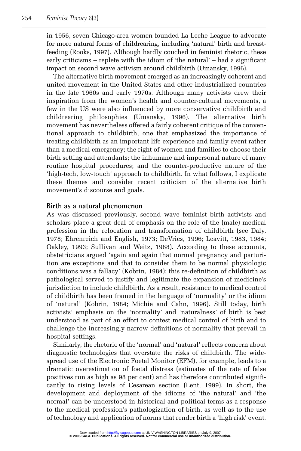in 1956, seven Chicago-area women founded La Leche League to advocate for more natural forms of childrearing, including 'natural' birth and breastfeeding (Rooks, 1997). Although hardly couched in feminist rhetoric, these early criticisms – replete with the idiom of 'the natural' – had a significant impact on second wave activism around childbirth (Umansky, 1996).

The alternative birth movement emerged as an increasingly coherent and united movement in the United States and other industrialized countries in the late 1960s and early 1970s. Although many activists drew their inspiration from the women's health and counter-cultural movements, a few in the US were also influenced by more conservative childbirth and childrearing philosophies (Umansky, 1996). The alternative birth movement has nevertheless offered a fairly coherent critique of the conventional approach to childbirth, one that emphasized the importance of treating childbirth as an important life experience and family event rather than a medical emergency; the right of women and families to choose their birth setting and attendants; the inhumane and impersonal nature of many routine hospital procedures; and the counter-productive nature of the 'high-tech, low-touch' approach to childbirth. In what follows, I explicate these themes and consider recent criticism of the alternative birth movement's discourse and goals.

#### **Birth as a natural phenomenon**

As was discussed previously, second wave feminist birth activists and scholars place a great deal of emphasis on the role of the (male) medical profession in the relocation and transformation of childbirth (see Daly, 1978; Ehrenreich and English, 1973; DeVries, 1996; Leavitt, 1983, 1984; Oakley, 1993; Sullivan and Weitz, 1988). According to these accounts, obstetricians argued 'again and again that normal pregnancy and parturition are exceptions and that to consider them to be normal physiologic conditions was a fallacy' (Kobrin, 1984); this re-definition of childbirth as pathological served to justify and legitimate the expansion of medicine's jurisdiction to include childbirth. As a result, resistance to medical control of childbirth has been framed in the language of 'normality' or the idiom of 'natural' (Kobrin, 1984; Michie and Cahn, 1996). Still today, birth activists' emphasis on the 'normality' and 'naturalness' of birth is best understood as part of an effort to contest medical control of birth and to challenge the increasingly narrow definitions of normality that prevail in hospital settings.

Similarly, the rhetoric of the 'normal' and 'natural' reflects concern about diagnostic technologies that overstate the risks of childbirth. The widespread use of the Electronic Foetal Monitor (EFM), for example, leads to a dramatic overestimation of foetal distress (estimates of the rate of false positives run as high as 98 per cent) and has therefore contributed significantly to rising levels of Cesarean section (Lent, 1999). In short, the development and deployment of the idioms of 'the natural' and 'the normal' can be understood in historical and political terms as a response to the medical profession's pathologization of birth, as well as to the use of technology and application of norms that render birth a 'high risk' event.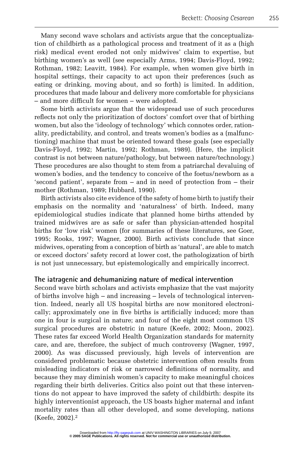Many second wave scholars and activists argue that the conceptualization of childbirth as a pathological process and treatment of it as a (high risk) medical event eroded not only midwives' claim to expertise, but birthing women's as well (see especially Arms, 1994; Davis-Floyd, 1992; Rothman, 1982; Leavitt, 1984). For example, when women give birth in hospital settings, their capacity to act upon their preferences (such as eating or drinking, moving about, and so forth) is limited. In addition, procedures that made labour and delivery more comfortable for physicians – and more difficult for women – were adopted.

Some birth activists argue that the widespread use of such procedures reflects not only the prioritization of doctors' comfort over that of birthing women, but also the 'ideology of technology' which connotes order, rationality, predictability, and control, and treats women's bodies as a (malfunctioning) machine that must be oriented toward these goals (see especially Davis-Floyd, 1992; Martin, 1992; Rothman, 1989). (Here, the implicit contrast is not between nature/pathology, but between nature/technology.) These procedures are also thought to stem from a patriarchal devaluing of women's bodies, and the tendency to conceive of the foetus/newborn as a 'second patient', separate from – and in need of protection from – their mother (Rothman, 1989; Hubbard, 1990).

Birth activists also cite evidence of the safety of home birth to justify their emphasis on the normality and 'naturalness' of birth. Indeed, many epidemiological studies indicate that planned home births attended by trained midwives are as safe or safer than physician-attended hospital births for 'low risk' women (for summaries of these literatures, see Goer, 1995; Rooks, 1997; Wagner, 2000). Birth activists conclude that since midwives, operating from a conception of birth as 'natural', are able to match or exceed doctors' safety record at lower cost, the pathologization of birth is not just unnecessary, but epistemologically and empirically incorrect.

#### **The iatragenic and dehumanizing nature of medical intervention**

Second wave birth scholars and activists emphasize that the vast majority of births involve high – and increasing – levels of technological intervention. Indeed, nearly all US hospital births are now monitored electronically; approximately one in five births is artificially induced; more than one in four is surgical in nature; and four of the eight most common US surgical procedures are obstetric in nature (Keefe, 2002; Moon, 2002). These rates far exceed World Health Organization standards for maternity care, and are, therefore, the subject of much controversy (Wagner, 1997, 2000). As was discussed previously, high levels of intervention are considered problematic because obstetric intervention often results from misleading indicators of risk or narrowed definitions of normality, and because they may diminish women's capacity to make meaningful choices regarding their birth deliveries. Critics also point out that these interventions do not appear to have improved the safety of childbirth: despite its highly interventionist approach, the US boasts higher maternal and infant mortality rates than all other developed, and some developing, nations (Keefe, 2002).2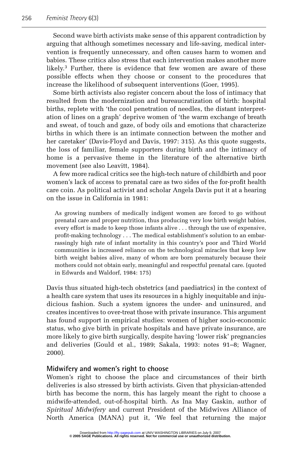Second wave birth activists make sense of this apparent contradiction by arguing that although sometimes necessary and life-saving, medical intervention is frequently unnecessary, and often causes harm to women and babies. These critics also stress that each intervention makes another more likely.<sup>3</sup> Further, there is evidence that few women are aware of these possible effects when they choose or consent to the procedures that increase the likelihood of subsequent interventions (Goer, 1995).

Some birth activists also register concern about the loss of intimacy that resulted from the modernization and bureaucratization of birth: hospital births, replete with 'the cool penetration of needles, the distant interpretation of lines on a graph' deprive women of 'the warm exchange of breath and sweat, of touch and gaze, of body oils and emotions that characterize births in which there is an intimate connection between the mother and her caretaker' (Davis-Floyd and Davis, 1997: 315). As this quote suggests, the loss of familiar, female supporters during birth and the intimacy of home is a pervasive theme in the literature of the alternative birth movement (see also Leavitt, 1984).

A few more radical critics see the high-tech nature of childbirth and poor women's lack of access to prenatal care as two sides of the for-profit health care coin. As political activist and scholar Angela Davis put it at a hearing on the issue in California in 1981:

As growing numbers of medically indigent women are forced to go without prenatal care and proper nutrition, thus producing very low birth weight babies, every effort is made to keep those infants alive . . . through the use of expensive, profit-making technology . . . The medical establishment's solution to an embarrassingly high rate of infant mortality in this country's poor and Third World communities is increased reliance on the technological miracles that keep low birth weight babies alive, many of whom are born prematurely because their mothers could not obtain early, meaningful and respectful prenatal care. (quoted in Edwards and Waldorf, 1984: 175)

Davis thus situated high-tech obstetrics (and paediatrics) in the context of a health care system that uses its resources in a highly inequitable and injudicious fashion. Such a system ignores the under- and uninsured, and creates incentives to over-treat those with private insurance. This argument has found support in empirical studies: women of higher socio-economic status, who give birth in private hospitals and have private insurance, are more likely to give birth surgically, despite having 'lower risk' pregnancies and deliveries (Gould et al., 1989; Sakala, 1993: notes 91–8; Wagner, 2000).

#### **Midwifery and women's right to choose**

Women's right to choose the place and circumstances of their birth deliveries is also stressed by birth activists. Given that physician-attended birth has become the norm, this has largely meant the right to choose a midwife-attended, out-of-hospital birth. As Ina May Gaskin, author of *Spiritual Midwifery* and current President of the Midwives Alliance of North America (MANA) put it, 'We feel that returning the major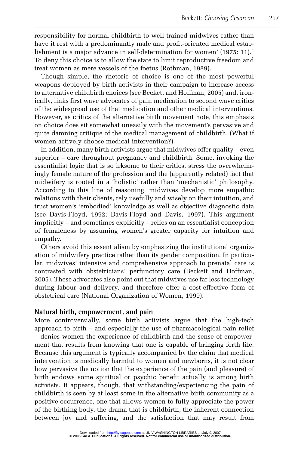responsibility for normal childbirth to well-trained midwives rather than have it rest with a predominantly male and profit-oriented medical establishment is a major advance in self-determination for women' (1975: 11).4 To deny this choice is to allow the state to limit reproductive freedom and treat women as mere vessels of the foetus (Rothman, 1989).

Though simple, the rhetoric of choice is one of the most powerful weapons deployed by birth activists in their campaign to increase access to alternative childbirth choices (see Beckett and Hoffman, 2005) and, ironically, links first wave advocates of pain medication to second wave critics of the widespread use of that medication and other medical interventions. However, as critics of the alternative birth movement note, this emphasis on choice does sit somewhat uneasily with the movement's pervasive and quite damning critique of the medical management of childbirth. (What if women actively choose medical intervention?)

In addition, many birth activists argue that midwives offer quality – even superior – care throughout pregnancy and childbirth. Some, invoking the essentialist logic that is so irksome to their critics, stress the overwhelmingly female nature of the profession and the (apparently related) fact that midwifery is rooted in a 'holistic' rather than 'mechanistic' philosophy. According to this line of reasoning, midwives develop more empathic relations with their clients, rely usefully and wisely on their intuition, and trust women's 'embodied' knowledge as well as objective diagnostic data (see Davis-Floyd, 1992; Davis-Floyd and Davis, 1997). This argument implicitly – and sometimes explicitly – relies on an essentialist conception of femaleness by assuming women's greater capacity for intuition and empathy.

Others avoid this essentialism by emphasizing the institutional organization of midwifery practice rather than its gender composition. In particular, midwives' intensive and comprehensive approach to prenatal care is contrasted with obstetricians' perfunctory care (Beckett and Hoffman, 2005). These advocates also point out that midwives use far less technology during labour and delivery, and therefore offer a cost-effective form of obstetrical care (National Organization of Women, 1999).

#### **Natural birth, empowerment, and pain**

More controversially, some birth activists argue that the high-tech approach to birth – and especially the use of pharmacological pain relief – denies women the experience of childbirth and the sense of empowerment that results from knowing that one is capable of bringing forth life. Because this argument is typically accompanied by the claim that medical intervention is medically harmful to women and newborns, it is not clear how pervasive the notion that the experience of the pain (and pleasure) of birth endows some spiritual or psychic benefit actually is among birth activists. It appears, though, that withstanding/experiencing the pain of childbirth is seen by at least some in the alternative birth community as a positive occurrence, one that allows women to fully appreciate the power of the birthing body, the drama that is childbirth, the inherent connection between joy and suffering, and the satisfaction that may result from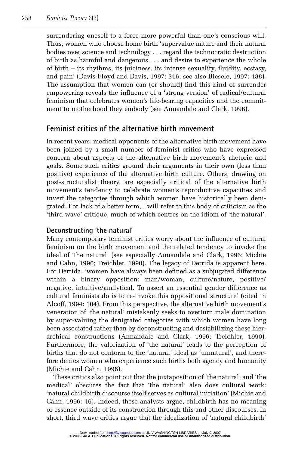surrendering oneself to a force more powerful than one's conscious will. Thus, women who choose home birth 'supervalue nature and their natural bodies over science and technology . . . regard the technocratic destruction of birth as harmful and dangerous . . . and desire to experience the whole of birth – its rhythms, its juiciness, its intense sexuality, fluidity, ecstasy, and pain' (Davis-Floyd and Davis, 1997: 316; see also Biesele, 1997: 488). The assumption that women can (or should) find this kind of surrender empowering reveals the influence of a 'strong version' of radical/cultural feminism that celebrates women's life-bearing capacities and the commitment to motherhood they embody (see Annandale and Clark, 1996).

#### **Feminist critics of the alternative birth movement**

In recent years, medical opponents of the alternative birth movement have been joined by a small number of feminist critics who have expressed concern about aspects of the alternative birth movement's rhetoric and goals. Some such critics ground their arguments in their own (less than positive) experience of the alternative birth culture. Others, drawing on post-structuralist theory, are especially critical of the alternative birth movement's tendency to celebrate women's reproductive capacities and invert the categories through which women have historically been denigrated. For lack of a better term, I will refer to this body of criticism as the 'third wave' critique, much of which centres on the idiom of 'the natural'.

#### **Deconstructing 'the natural'**

Many contemporary feminist critics worry about the influence of cultural feminism on the birth movement and the related tendency to invoke the ideal of 'the natural' (see especially Annandale and Clark, 1996; Michie and Cahn, 1996; Treichler, 1990). The legacy of Derrida is apparent here. For Derrida, 'women have always been defined as a subjugated difference within a binary opposition: man/woman, culture/nature, positive/ negative, intuitive/analytical. To assert an essential gender difference as cultural feminists do is to re-invoke this oppositional structure' (cited in Alcoff, 1994: 104). From this perspective, the alternative birth movement's veneration of 'the natural' mistakenly seeks to overturn male domination by super-valuing the denigrated categories with which women have long been associated rather than by deconstructing and destabilizing these hierarchical constructions (Annandale and Clark, 1996; Treichler, 1990). Furthermore, the valorization of 'the natural' leads to the perception of births that do not conform to the 'natural' ideal as 'unnatural', and therefore denies women who experience such births both agency and humanity (Michie and Cahn, 1996).

These critics also point out that the juxtaposition of 'the natural' and 'the medical' obscures the fact that 'the natural' also does cultural work: 'natural childbirth discourse itself serves as cultural initiation' (Michie and Cahn, 1996: 46). Indeed, these analysts argue, childbirth has no meaning or essence outside of its construction through this and other discourses. In short, third wave critics argue that the idealization of 'natural childbirth'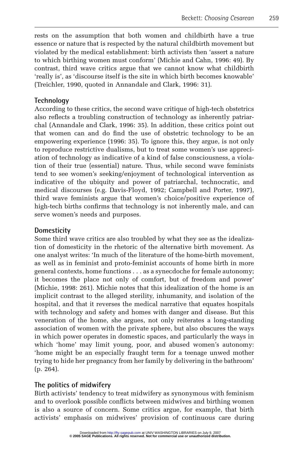rests on the assumption that both women and childbirth have a true essence or nature that is respected by the natural childbirth movement but violated by the medical establishment: birth activists then 'assert a nature to which birthing women must conform' (Michie and Cahn, 1996: 49). By contrast, third wave critics argue that we cannot know what childbirth 'really is', as 'discourse itself is the site in which birth becomes knowable' (Treichler, 1990, quoted in Annandale and Clark, 1996: 31).

#### **Technology**

According to these critics, the second wave critique of high-tech obstetrics also reflects a troubling construction of technology as inherently patriarchal (Annandale and Clark, 1996: 35). In addition, these critics point out that women can and do find the use of obstetric technology to be an empowering experience (1996: 35). To ignore this, they argue, is not only to reproduce restrictive dualisms, but to treat some women's use appreciation of technology as indicative of a kind of false consciousness, a violation of their true (essential) nature. Thus, while second wave feminists tend to see women's seeking/enjoyment of technological intervention as indicative of the ubiquity and power of patriarchal, technocratic, and medical discourses (e.g. Davis-Floyd, 1992; Campbell and Porter, 1997), third wave feminists argue that women's choice/positive experience of high-tech births confirms that technology is not inherently male, and can serve women's needs and purposes.

#### **Domesticity**

Some third wave critics are also troubled by what they see as the idealization of domesticity in the rhetoric of the alternative birth movement. As one analyst writes: 'In much of the literature of the home-birth movement, as well as in feminist and proto-feminist accounts of home birth in more general contexts, home functions . . . as a synecdoche for female autonomy; it becomes the place not only of comfort, but of freedom and power' (Michie, 1998: 261). Michie notes that this idealization of the home is an implicit contrast to the alleged sterility, inhumanity, and isolation of the hospital, and that it reverses the medical narrative that equates hospitals with technology and safety and homes with danger and disease. But this veneration of the home, she argues, not only reiterates a long-standing association of women with the private sphere, but also obscures the ways in which power operates in domestic spaces, and particularly the ways in which 'home' may limit young, poor, and abused women's autonomy: 'home might be an especially fraught term for a teenage unwed mother trying to hide her pregnancy from her family by delivering in the bathroom' (p. 264).

#### **The politics of midwifery**

Birth activists' tendency to treat midwifery as synonymous with feminism and to overlook possible conflicts between midwives and birthing women is also a source of concern. Some critics argue, for example, that birth activists' emphasis on midwives' provision of continuous care during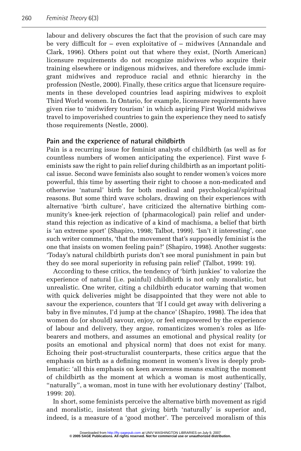labour and delivery obscures the fact that the provision of such care may be very difficult for – even exploitative of – midwives (Annandale and Clark, 1996). Others point out that where they exist, (North American) licensure requirements do not recognize midwives who acquire their training elsewhere or indigenous midwives, and therefore exclude immigrant midwives and reproduce racial and ethnic hierarchy in the profession (Nestle, 2000). Finally, these critics argue that licensure requirements in these developed countries lead aspiring midwives to exploit Third World women. In Ontario, for example, licensure requirements have given rise to 'midwifery tourism' in which aspiring First World midwives travel to impoverished countries to gain the experience they need to satisfy those requirements (Nestle, 2000).

#### **Pain and the experience of natural childbirth**

Pain is a recurring issue for feminist analysts of childbirth (as well as for countless numbers of women anticipating the experience). First wave feminists saw the right to pain relief during childbirth as an important political issue. Second wave feminists also sought to render women's voices more powerful, this time by asserting their right to choose a non-medicated and otherwise 'natural' birth for both medical and psychological/spiritual reasons. But some third wave scholars, drawing on their experiences with alternative 'birth culture', have criticized the alternative birthing community's knee-jerk rejection of (pharmacological) pain relief and understand this rejection as indicative of a kind of machisma, a belief that birth is 'an extreme sport' (Shapiro, 1998; Talbot, 1999). 'Isn't it interesting', one such writer comments, 'that the movement that's supposedly feminist is the one that insists on women feeling pain?' (Shapiro, 1998). Another suggests: 'Today's natural childbirth purists don't see moral punishment in pain but they do see moral superiority in refusing pain relief' (Talbot, 1999: 19).

According to these critics, the tendency of 'birth junkies' to valorize the experience of natural (i.e. painful) childbirth is not only moralistic, but unrealistic. One writer, citing a childbirth educator warning that women with quick deliveries might be disappointed that they were not able to savour the experience, counters that 'If I could get away with delivering a baby in five minutes, I'd jump at the chance' (Shapiro, 1998). The idea that women do (or should) savour, enjoy, or feel empowered by the experience of labour and delivery, they argue, romanticizes women's roles as lifebearers and mothers, and assumes an emotional and physical reality (or posits an emotional and physical norm) that does not exist for many. Echoing their post-structuralist counterparts, these critics argue that the emphasis on birth as a defining moment in women's lives is deeply problematic: 'all this emphasis on keen awareness means exalting the moment of childbirth as the moment at which a woman is most authentically, "naturally", a woman, most in tune with her evolutionary destiny' (Talbot, 1999: 20).

In short, some feminists perceive the alternative birth movement as rigid and moralistic, insistent that giving birth 'naturally' is superior and, indeed, is a measure of a 'good mother'. The perceived moralism of this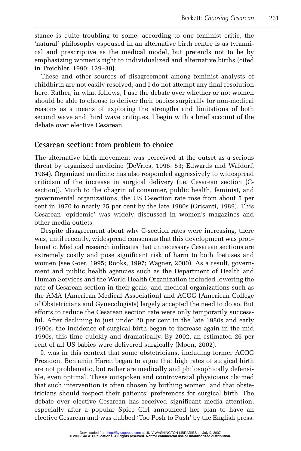stance is quite troubling to some; according to one feminist critic, the 'natural' philosophy espoused in an alternative birth centre is as tyrannical and prescriptive as the medical model, but pretends not to be by emphasizing women's right to individualized and alternative births (cited in Treichler, 1990: 129–30).

These and other sources of disagreement among feminist analysts of childbirth are not easily resolved, and I do not attempt any final resolution here. Rather, in what follows, I use the debate over whether or not women should be able to choose to deliver their babies surgically for non-medical reasons as a means of exploring the strengths and limitations of both second wave and third wave critiques. I begin with a brief account of the debate over elective Cesarean.

#### **Cesarean section: from problem to choice**

The alternative birth movement was perceived at the outset as a serious threat by organized medicine (DeVries, 1996: 53; Edwards and Waldorf, 1984). Organized medicine has also responded aggressively to widespread criticism of the increase in surgical delivery (i.e. Cesarean section (Csection)). Much to the chagrin of consumer, public health, feminist, and governmental organizations, the US C-section rate rose from about 5 per cent in 1970 to nearly 25 per cent by the late 1980s (Grisanti, 1989). This Cesarean 'epidemic' was widely discussed in women's magazines and other media outlets.

Despite disagreement about why C-section rates were increasing, there was, until recently, widespread consensus that this development was problematic. Medical research indicates that unnecessary Cesarean sections are extremely costly and pose significant risk of harm to both foetuses and women (see Goer, 1995; Rooks, 1997; Wagner, 2000). As a result, government and public health agencies such as the Department of Health and Human Services and the World Health Organization included lowering the rate of Cesarean section in their goals, and medical organizations such as the AMA (American Medical Association) and ACOG (American College of Obstetricians and Gynecologists) largely accepted the need to do so. But efforts to reduce the Cesarean section rate were only temporarily successful. After declining to just under 20 per cent in the late 1980s and early 1990s, the incidence of surgical birth began to increase again in the mid 1990s, this time quickly and dramatically. By 2002, an estimated 26 per cent of all US babies were delivered surgically (Moon, 2002).

It was in this context that some obstetricians, including former ACOG President Benjamin Harer, began to argue that high rates of surgical birth are not problematic, but rather are medically and philosophically defensible, even optimal. These outspoken and controversial physicians claimed that such intervention is often chosen by birthing women, and that obstetricians should respect their patients' preferences for surgical birth. The debate over elective Cesarean has received significant media attention, especially after a popular Spice Girl announced her plan to have an elective Cesarean and was dubbed 'Too Posh to Push' by the English press.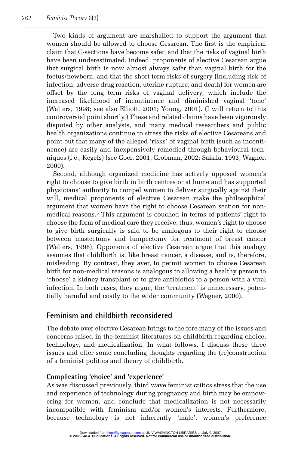Two kinds of argument are marshalled to support the argument that women should be allowed to choose Cesarean. The first is the empirical claim that C-sections have become safer, and that the risks of vaginal birth have been underestimated. Indeed, proponents of elective Cesarean argue that surgical birth is now almost always safer than vaginal birth for the foetus/newborn, and that the short term risks of surgery (including risk of infection, adverse drug reaction, uterine rupture, and death) for women are offset by the long term risks of vaginal delivery, which include the increased likelihood of incontinence and diminished vaginal 'tone' (Walters, 1998; see also Elliott, 2001; Young, 2001). (I will return to this controversial point shortly.) These and related claims have been vigorously disputed by other analysts, and many medical researchers and public health organizations continue to stress the risks of elective Cesareans and point out that many of the alleged 'risks' of vaginal birth (such as incontinence) are easily and inexpensively remedied through behavioural techniques (i.e., Kegels) (see Goer, 2001; Grobman, 2002; Sakala, 1993; Wagner, 2000).

Second, although organized medicine has actively opposed women's right to choose to give birth in birth centres or at home and has supported physicians' authority to compel women to deliver surgically against their will, medical proponents of elective Cesarean make the philosophical argument that women have the right to choose Cesarean section for nonmedical reasons.5 This argument is couched in terms of patients' right to choose the form of medical care they receive; thus, women's right to choose to give birth surgically is said to be analogous to their right to choose between mastectomy and lumpectomy for treatment of breast cancer (Walters, 1998). Opponents of elective Cesarean argue that this analogy assumes that childbirth is, like breast cancer, a disease, and is, therefore, misleading. By contrast, they aver, to permit women to choose Cesarean birth for non-medical reasons is analogous to allowing a healthy person to 'choose' a kidney transplant or to give antibiotics to a person with a viral infection. In both cases, they argue, the 'treatment' is unnecessary, potentially harmful and costly to the wider community (Wagner, 2000).

#### **Feminism and childbirth reconsidered**

The debate over elective Cesarean brings to the fore many of the issues and concerns raised in the feminist literatures on childbirth regarding choice, technology, and medicalization. In what follows, I discuss these three issues and offer some concluding thoughts regarding the (re)construction of a feminist politics and theory of childbirth.

#### **Complicating 'choice' and 'experience'**

As was discussed previously, third wave feminist critics stress that the use and experience of technology during pregnancy and birth may be empowering for women, and conclude that medicalization is not necessarily incompatible with feminism and/or women's interests. Furthermore, because technology is not inherently 'male', women's preference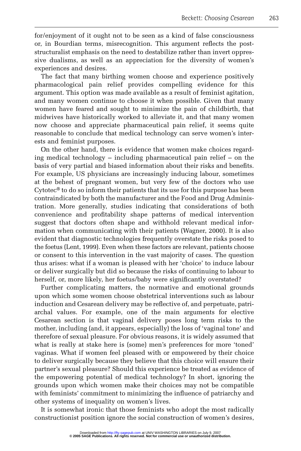for/enjoyment of it ought not to be seen as a kind of false consciousness or, in Bourdian terms, misrecognition. This argument reflects the poststructuralist emphasis on the need to destabilize rather than invert oppressive dualisms, as well as an appreciation for the diversity of women's experiences and desires.

The fact that many birthing women choose and experience positively pharmacological pain relief provides compelling evidence for this argument. This option was made available as a result of feminist agitation, and many women continue to choose it when possible. Given that many women have feared and sought to minimize the pain of childbirth, that midwives have historically worked to alleviate it, and that many women now choose and appreciate pharmaceutical pain relief, it seems quite reasonable to conclude that medical technology can serve women's interests and feminist purposes.

On the other hand, there is evidence that women make choices regarding medical technology – including pharmaceutical pain relief – on the basis of very partial and biased information about their risks and benefits. For example, US physicians are increasingly inducing labour, sometimes at the behest of pregnant women, but very few of the doctors who use Cytotec® to do so inform their patients that its use for this purpose has been contraindicated by both the manufacturer and the Food and Drug Administration. More generally, studies indicating that considerations of both convenience and profitability shape patterns of medical intervention suggest that doctors often shape and withhold relevant medical information when communicating with their patients (Wagner, 2000). It is also evident that diagnostic technologies frequently overstate the risks posed to the foetus (Lent, 1999). Even when these factors are relevant, patients choose or consent to this intervention in the vast majority of cases. The question thus arises: what if a woman is pleased with her 'choice' to induce labour or deliver surgically but did so because the risks of continuing to labour to herself, or, more likely, her foetus/baby were significantly overstated?

Further complicating matters, the normative and emotional grounds upon which some women choose obstetrical interventions such as labour induction and Cesarean delivery may be reflective of, and perpetuate, patriarchal values. For example, one of the main arguments for elective Cesarean section is that vaginal delivery poses long term risks to the mother, including (and, it appears, especially) the loss of 'vaginal tone' and therefore of sexual pleasure. For obvious reasons, it is widely assumed that what is really at stake here is (some) men's preferences for more 'toned' vaginas. What if women feel pleased with or empowered by their choice to deliver surgically because they believe that this choice will ensure their partner's sexual pleasure? Should this experience be treated as evidence of the empowering potential of medical technology? In short, ignoring the grounds upon which women make their choices may not be compatible with feminists' commitment to minimizing the influence of patriarchy and other systems of inequality on women's lives.

It is somewhat ironic that those feminists who adopt the most radically constructionist position ignore the social construction of women's desires,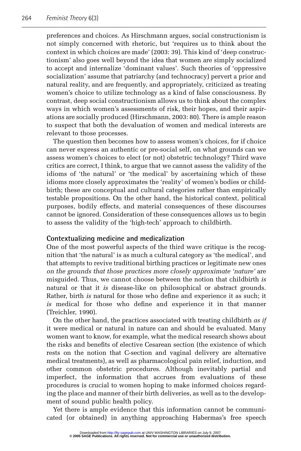preferences and choices. As Hirschmann argues, social constructionism is not simply concerned with rhetoric, but 'requires us to think about the context in which choices are made' (2003: 39). This kind of 'deep constructionism' also goes well beyond the idea that women are simply socialized to accept and internalize 'dominant values'. Such theories of 'oppressive socialization' assume that patriarchy (and technocracy) pervert a prior and natural reality, and are frequently, and appropriately, criticized as treating women's choice to utilize technology as a kind of false consciousness. By contrast, deep social constructionism allows us to think about the complex ways in which women's assessments of risk, their hopes, and their aspirations are socially produced (Hirschmann, 2003: 80). There is ample reason to suspect that both the devaluation of women and medical interests are relevant to those processes.

The question then becomes how to assess women's choices, for if choice can never express an authentic or pre-social self, on what grounds can we assess women's choices to elect (or not) obstetric technology? Third wave critics are correct, I think, to argue that we cannot assess the validity of the idioms of 'the natural' or 'the medical' by ascertaining which of these idioms more closely approximates the 'reality' of women's bodies or childbirth; these are conceptual and cultural categories rather than empirically testable propositions. On the other hand, the historical context, political purposes, bodily effects, and material consequences of these discourses cannot be ignored. Consideration of these consequences allows us to begin to assess the validity of the 'high-tech' approach to childbirth.

#### **Contextualizing medicine and medicalization**

One of the most powerful aspects of the third wave critique is the recognition that 'the natural' is as much a cultural category as 'the medical', and that attempts to revive traditional birthing practices or legitimate new ones *on the grounds that those practices more closely approximate 'nature'* are misguided. Thus, we cannot choose between the notion that childbirth *is* natural or that it *is* disease-like on philosophical or abstract grounds. Rather, birth *is* natural for those who define and experience it as such; it *is* medical for those who define and experience it in that manner (Treichler, 1990).

On the other hand, the practices associated with treating childbirth *as if* it were medical or natural in nature can and should be evaluated. Many women want to know, for example, what the medical research shows about the risks and benefits of elective Cesarean section (the existence of which rests on the notion that C-section and vaginal delivery are alternative medical treatments), as well as pharmacological pain relief, induction, and other common obstetric procedures. Although inevitably partial and imperfect, the information that accrues from evaluations of these procedures is crucial to women hoping to make informed choices regarding the place and manner of their birth deliveries, as well as to the development of sound public health policy.

Yet there is ample evidence that this information cannot be communicated (or obtained) in anything approaching Habermas's free speech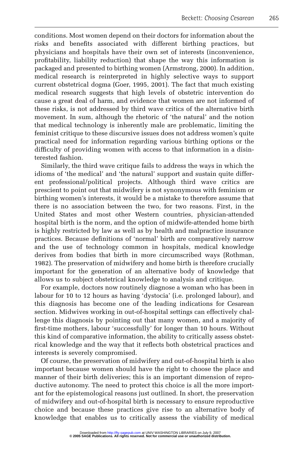conditions. Most women depend on their doctors for information about the risks and benefits associated with different birthing practices, but physicians and hospitals have their own set of interests (inconvenience, profitability, liability reduction) that shape the way this information is packaged and presented to birthing women (Armstrong, 2000). In addition, medical research is reinterpreted in highly selective ways to support current obstetrical dogma (Goer, 1995, 2001). The fact that much existing medical research suggests that high levels of obstetric intervention do cause a great deal of harm, and evidence that women are not informed of these risks, is not addressed by third wave critics of the alternative birth movement. In sum, although the rhetoric of 'the natural' and the notion that medical technology is inherently male are problematic, limiting the feminist critique to these discursive issues does not address women's quite practical need for information regarding various birthing options or the difficulty of providing women with access to that information in a disinterested fashion.

Similarly, the third wave critique fails to address the ways in which the idioms of 'the medical' and 'the natural' support and sustain quite different professional/political projects. Although third wave critics are prescient to point out that midwifery is not synonymous with feminism or birthing women's interests, it would be a mistake to therefore assume that there is no association between the two, for two reasons. First, in the United States and most other Western countries, physician-attended hospital birth is the norm, and the option of midwife-attended home birth is highly restricted by law as well as by health and malpractice insurance practices. Because definitions of 'normal' birth are comparatively narrow and the use of technology common in hospitals, medical knowledge derives from bodies that birth in more circumscribed ways (Rothman, 1982). The preservation of midwifery and home birth is therefore crucially important for the generation of an alternative body of knowledge that allows us to subject obstetrical knowledge to analysis and critique.

For example, doctors now routinely diagnose a woman who has been in labour for 10 to 12 hours as having 'dystocia' (i.e. prolonged labour), and this diagnosis has become one of the leading indications for Cesarean section. Midwives working in out-of-hospital settings can effectively challenge this diagnosis by pointing out that many women, and a majority of first-time mothers, labour 'successfully' for longer than 10 hours. Without this kind of comparative information, the ability to critically assess obstetrical knowledge and the way that it reflects both obstetrical practices and interests is severely compromised.

Of course, the preservation of midwifery and out-of-hospital birth is also important because women should have the right to choose the place and manner of their birth deliveries; this is an important dimension of reproductive autonomy. The need to protect this choice is all the more important for the epistemological reasons just outlined. In short, the preservation of midwifery and out-of-hospital birth is necessary to ensure reproductive choice and because these practices give rise to an alternative body of knowledge that enables us to critically assess the viability of medical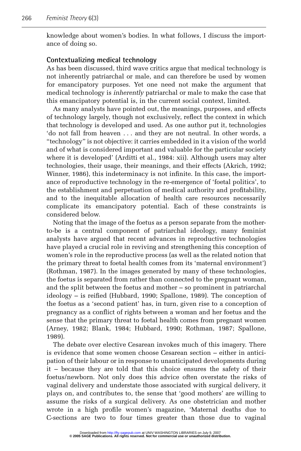knowledge about women's bodies. In what follows, I discuss the importance of doing so.

#### **Contextualizing medical technology**

As has been discussed, third wave critics argue that medical technology is not inherently patriarchal or male, and can therefore be used by women for emancipatory purposes. Yet one need not make the argument that medical technology is *inherently* patriarchal or male to make the case that this emancipatory potential is, in the current social context, limited.

As many analysts have pointed out, the meanings, purposes, and effects of technology largely, though not exclusively, reflect the context in which that technology is developed and used. As one author put it, technologies 'do not fall from heaven . . . and they are not neutral. In other words, a "technology" is not objective: it carries embedded in it a vision of the world and of what is considered important and valuable for the particular society where it is developed' (Arditti et al., 1984: xii). Although users may alter technologies, their usage, their meanings, and their effects (Akrich, 1992; Winner, 1986), this indeterminacy is not infinite. In this case, the importance of reproductive technology in the re-emergence of 'foetal politics', to the establishment and perpetuation of medical authority and profitability, and to the inequitable allocation of health care resources necessarily complicate its emancipatory potential. Each of these constraints is considered below.

Noting that the image of the foetus as a person separate from the motherto-be is a central component of patriarchal ideology, many feminist analysts have argued that recent advances in reproductive technologies have played a crucial role in reviving and strengthening this conception of women's role in the reproductive process (as well as the related notion that the primary threat to foetal health comes from its 'maternal environment') (Rothman, 1987). In the images generated by many of these technologies, the foetus is separated from rather than connected to the pregnant woman, and the split between the foetus and mother – so prominent in patriarchal ideology – is reified (Hubbard, 1990; Spallone, 1989). The conception of the foetus as a 'second patient' has, in turn, given rise to a conception of pregnancy as a conflict of rights between a woman and her foetus and the sense that the primary threat to foetal health comes from pregnant women (Arney, 1982; Blank, 1984; Hubbard, 1990; Rothman, 1987; Spallone, 1989).

The debate over elective Cesarean invokes much of this imagery. There is evidence that some women choose Cesarean section – either in anticipation of their labour or in response to unanticipated developments during it – because they are told that this choice ensures the safety of their foetus/newborn. Not only does this advice often overstate the risks of vaginal delivery and understate those associated with surgical delivery, it plays on, and contributes to, the sense that 'good mothers' are willing to assume the risks of a surgical delivery. As one obstetrician and mother wrote in a high profile women's magazine, 'Maternal deaths due to C-sections are two to four times greater than those due to vaginal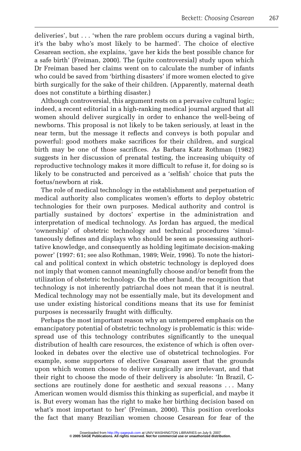deliveries', but . . . 'when the rare problem occurs during a vaginal birth, it's the baby who's most likely to be harmed'. The choice of elective Cesarean section, she explains, 'gave her kids the best possible chance for a safe birth' (Freiman, 2000). The (quite controversial) study upon which Dr Freiman based her claims went on to calculate the number of infants who could be saved from 'birthing disasters' if more women elected to give birth surgically for the sake of their children. (Apparently, maternal death does not constitute a birthing disaster.)

Although controversial, this argument rests on a pervasive cultural logic; indeed, a recent editorial in a high-ranking medical journal argued that all women should deliver surgically in order to enhance the well-being of newborns. This proposal is not likely to be taken seriously, at least in the near term, but the message it reflects and conveys is both popular and powerful: good mothers make sacrifices for their children, and surgical birth may be one of those sacrifices. As Barbara Katz Rothman (1982) suggests in her discussion of prenatal testing, the increasing ubiquity of reproductive technology makes it more difficult to refuse it, for doing so is likely to be constructed and perceived as a 'selfish' choice that puts the foetus/newborn at risk.

The role of medical technology in the establishment and perpetuation of medical authority also complicates women's efforts to deploy obstetric technologies for their own purposes. Medical authority and control is partially sustained by doctors' expertise in the administration and interpretation of medical technology. As Jordan has argued, the medical 'ownership' of obstetric technology and technical procedures 'simultaneously defines and displays who should be seen as possessing authoritative knowledge, and consequently as holding legitimate decision-making power' (1997: 61; see also Rothman, 1989; Weir, 1996). To note the historical and political context in which obstetric technology is deployed does not imply that women cannot meaningfully choose and/or benefit from the utilization of obstetric technology. On the other hand, the recognition that technology is not inherently patriarchal does not mean that it is neutral. Medical technology may not be essentially male, but its development and use under existing historical conditions means that its use for feminist purposes is necessarily fraught with difficulty.

Perhaps the most important reason why an untempered emphasis on the emancipatory potential of obstetric technology is problematic is this: widespread use of this technology contributes significantly to the unequal distribution of health care resources, the existence of which is often overlooked in debates over the elective use of obstetrical technologies. For example, some supporters of elective Cesarean assert that the grounds upon which women choose to deliver surgically are irrelevant, and that their right to choose the mode of their delivery is absolute: 'In Brazil, Csections are routinely done for aesthetic and sexual reasons . . . Many American women would dismiss this thinking as superficial, and maybe it is. But every woman has the right to make her birthing decision based on what's most important to her' (Freiman, 2000). This position overlooks the fact that many Brazilian women choose Cesarean for fear of the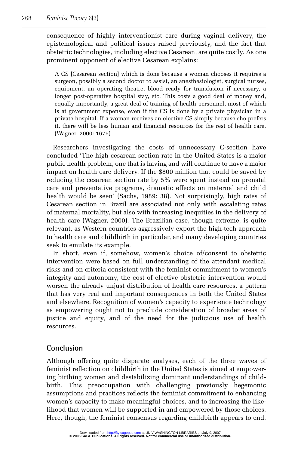consequence of highly interventionist care during vaginal delivery, the epistemological and political issues raised previously, and the fact that obstetric technologies, including elective Cesarean, are quite costly. As one prominent opponent of elective Cesarean explains:

A CS [Cesarean section] which is done because a woman chooses it requires a surgeon, possibly a second doctor to assist, an anesthesiologist, surgical nurses, equipment, an operating theatre, blood ready for transfusion if necessary, a longer post-operative hospital stay, etc. This costs a good deal of money and, equally importantly, a great deal of training of health personnel, most of which is at government expense, even if the CS is done by a private physician in a private hospital. If a woman receives an elective CS simply because she prefers it, there will be less human and financial resources for the rest of health care. (Wagner, 2000: 1679)

Researchers investigating the costs of unnecessary C-section have concluded 'The high cesarean section rate in the United States is a major public health problem, one that is having and will continue to have a major impact on health care delivery. If the \$800 million that could be saved by reducing the cesarean section rate by 5% were spent instead on prenatal care and preventative programs, dramatic effects on maternal and child health would be seen' (Sachs, 1989: 38). Not surprisingly, high rates of Cesarean section in Brazil are associated not only with escalating rates of maternal mortality, but also with increasing inequities in the delivery of health care (Wagner, 2000). The Brazilian case, though extreme, is quite relevant, as Western countries aggressively export the high-tech approach to health care and childbirth in particular, and many developing countries seek to emulate its example.

In short, even if, somehow, women's choice of/consent to obstetric intervention were based on full understanding of the attendant medical risks and on criteria consistent with the feminist commitment to women's integrity and autonomy, the cost of elective obstetric intervention would worsen the already unjust distribution of health care resources, a pattern that has very real and important consequences in both the United States and elsewhere. Recognition of women's capacity to experience technology as empowering ought not to preclude consideration of broader areas of justice and equity, and of the need for the judicious use of health resources.

# **Conclusion**

Although offering quite disparate analyses, each of the three waves of feminist reflection on childbirth in the United States is aimed at empowering birthing women and destabilizing dominant understandings of childbirth. This preoccupation with challenging previously hegemonic assumptions and practices reflects the feminist commitment to enhancing women's capacity to make meaningful choices, and to increasing the likelihood that women will be supported in and empowered by those choices. Here, though, the feminist consensus regarding childbirth appears to end.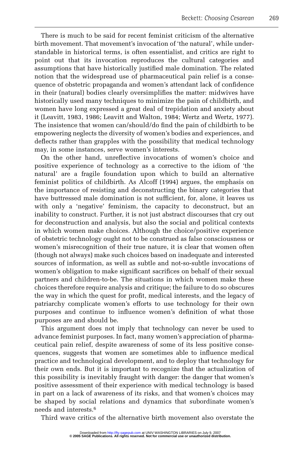There is much to be said for recent feminist criticism of the alternative birth movement. That movement's invocation of 'the natural', while understandable in historical terms, is often essentialist, and critics are right to point out that its invocation reproduces the cultural categories and assumptions that have historically justified male domination. The related notion that the widespread use of pharmaceutical pain relief is a consequence of obstetric propaganda and women's attendant lack of confidence in their (natural) bodies clearly oversimplifies the matter: midwives have historically used many techniques to minimize the pain of childbirth, and women have long expressed a great deal of trepidation and anxiety about it (Leavitt, 1983, 1986; Leavitt and Walton, 1984; Wertz and Wertz, 1977). The insistence that women can/should/do find the pain of childbirth to be empowering neglects the diversity of women's bodies and experiences, and deflects rather than grapples with the possibility that medical technology may, in some instances, serve women's interests.

On the other hand, unreflective invocations of women's choice and positive experience of technology as a corrective to the idiom of 'the natural' are a fragile foundation upon which to build an alternative feminist politics of childbirth. As Alcoff (1994) argues, the emphasis on the importance of resisting and deconstructing the binary categories that have buttressed male domination is not sufficient, for, alone, it leaves us with only a 'negative' feminism, the capacity to deconstruct, but an inability to construct. Further, it is not just abstract discourses that cry out for deconstruction and analysis, but also the social and political contexts in which women make choices. Although the choice/positive experience of obstetric technology ought not to be construed as false consciousness or women's misrecognition of their true nature, it is clear that women often (though not always) make such choices based on inadequate and interested sources of information, as well as subtle and not-so-subtle invocations of women's obligation to make significant sacrifices on behalf of their sexual partners and children-to-be. The situations in which women make these choices therefore require analysis and critique; the failure to do so obscures the way in which the quest for profit, medical interests, and the legacy of patriarchy complicate women's efforts to use technology for their own purposes and continue to influence women's definition of what those purposes are and should be.

This argument does not imply that technology can never be used to advance feminist purposes. In fact, many women's appreciation of pharmaceutical pain relief, despite awareness of some of its less positive consequences, suggests that women are sometimes able to influence medical practice and technological development, and to deploy that technology for their own ends. But it is important to recognize that the actualization of this possibility is inevitably fraught with danger: the danger that women's positive assessment of their experience with medical technology is based in part on a lack of awareness of its risks, and that women's choices may be shaped by social relations and dynamics that subordinate women's needs and interests.6

Third wave critics of the alternative birth movement also overstate the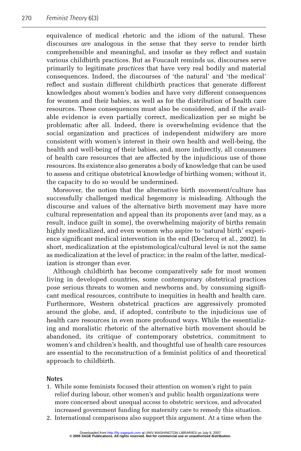equivalence of medical rhetoric and the idiom of the natural. These discourses *are* analogous in the sense that they serve to render birth comprehensible and meaningful, and insofar as they reflect and sustain various childbirth practices. But as Foucault reminds us, discourses serve primarily to legitimate *practices* that have very real bodily and material consequences. Indeed, the discourses of 'the natural' and 'the medical' reflect and sustain different childbirth practices that generate different knowledges about women's bodies and have very different consequences for women and their babies, as well as for the distribution of health care resources. These consequences must also be considered, and if the available evidence is even partially correct, medicalization per se might be problematic after all. Indeed, there is overwhelming evidence that the social organization and practices of independent midwifery are more consistent with women's interest in their own health and well-being, the health and well-being of their babies, and, more indirectly, all consumers of health care resources that are affected by the injudicious use of those resources. Its existence also generates a body of knowledge that can be used to assess and critique obstetrical knowledge of birthing women; without it, the capacity to do so would be undermined.

Moreover, the notion that the alternative birth movement/culture has successfully challenged medical hegemony is misleading. Although the discourse and values of the alternative birth movement may have more cultural representation and appeal than its proponents aver (and may, as a result, induce guilt in some), the overwhelming majority of births remain highly medicalized, and even women who aspire to 'natural birth' experience significant medical intervention in the end (Declercq et al., 2002). In short, medicalization at the epistemological/cultural level is not the same as medicalization at the level of practice; in the realm of the latter, medicalization is stronger than ever.

Although childbirth has become comparatively safe for most women living in developed countries, some contemporary obstetrical practices pose serious threats to women and newborns and, by consuming significant medical resources, contribute to inequities in health and health care. Furthermore, Western obstetrical practices are aggressively promoted around the globe, and, if adopted, contribute to the injudicious use of health care resources in even more profound ways. While the essentializing and moralistic rhetoric of the alternative birth movement should be abandoned, its critique of contemporary obstetrics, commitment to women's and children's health, and thoughtful use of health care resources are essential to the reconstruction of a feminist politics of and theoretical approach to childbirth.

#### **Notes**

- 1. While some feminists focused their attention on women's right to pain relief during labour, other women's and public health organizations were more concerned about unequal access to obstetric services, and advocated increased government funding for maternity care to remedy this situation.
- 2. International comparisons also support this argument. At a time when the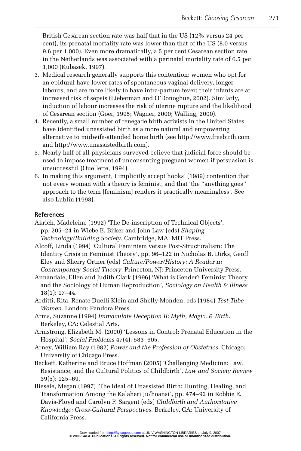British Cesarean section rate was half that in the US (12% versus 24 per cent), its prenatal mortality rate was lower than that of the US (8.0 versus 9.6 per 1,000). Even more dramatically, a 5 per cent Cesarean section rate in the Netherlands was associated with a perinatal mortality rate of 6.5 per 1,000 (Kubasek, 1997).

- 3. Medical research generally supports this contention: women who opt for an epidural have lower rates of spontaneous vaginal delivery, longer labours, and are more likely to have intra-partum fever; their infants are at increased risk of sepsis (Lieberman and O'Donoghue, 2002). Similarly, induction of labour increases the risk of uterine rupture and the likelihood of Cesarean section (Goer, 1995; Wagner, 2000; Walling, 2000).
- 4. Recently, a small number of renegade birth activists in the United States have identified unassisted birth as a more natural and empowering alternative to midwife-attended home birth (see http://www.freebirth.com and http://www.unassistedbirth.com).
- 5. Nearly half of all physicians surveyed believe that judicial force should be used to impose treatment of unconsenting pregnant women if persuasion is unsuccessful (Ouellette, 1994).
- 6. In making this argument, I implicitly accept hooks' (1989) contention that not every woman with a theory is feminist, and that 'the "anything goes" approach to the term [feminism] renders it practically meaningless'. See also Lublin (1998).

#### **References**

- Akrich, Madeleine (1992) 'The De-inscription of Technical Objects', pp. 205–24 in Wiebe E. Bijker and John Law (eds) *Shaping Technology/Building Society*. Cambridge, MA: MIT Press.
- Alcoff, Linda (1994) 'Cultural Feminism versus Post-Structuralism: The Identity Crisis in Feminist Theory', pp. 96–122 in Nicholas B. Dirks, Geoff Eley and Sherry Ortner (eds) *Culture/Power/History: A Reader in Contemporary Social Theory*. Princeton, NJ: Princeton University Press.
- Annandale, Ellen and Judith Clark (1996) 'What is Gender? Feminist Theory and the Sociology of Human Reproduction', *Sociology on Health & Illness* 18(1): 17–44.
- Arditti, Rita, Renate Duelli Klein and Shelly Monden, eds (1984) *Test Tube Women.* London: Pandora Press.
- Arms, Suzanne (1994) *Immaculate Deception II: Myth, Magic, & Birth*. Berkeley, CA: Celestial Arts.
- Armstrong, Elizabeth M. (2000) 'Lessons in Control: Prenatal Education in the Hospital', *Social Problems* 47(4): 583–605.
- Arney, William Ray (1982) *Power and the Profession of Obstetrics*. Chicago: University of Chicago Press.
- Beckett, Katherine and Bruce Hoffman (2005) 'Challenging Medicine: Law, Resistance, and the Cultural Politics of Childbirth', *Law and Society Review* 39(5): 125–69.
- Biesele, Megan (1997) 'The Ideal of Unassisted Birth: Hunting, Healing, and Transformation Among the Kalahari Ju/hoansi', pp. 474–92 in Robbie E. Davis-Floyd and Carolyn F. Sargent (eds) *Childbirth and Authoritative Knowledge: Cross-Cultural Perspectives*. Berkeley, CA: University of California Press.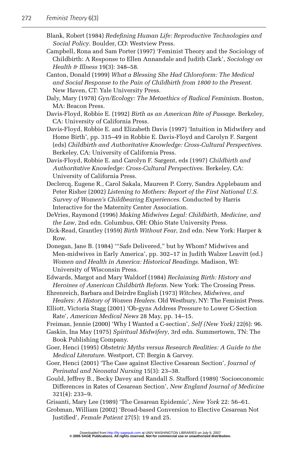- Blank, Robert (1984) *Redefining Human Life: Reproductive Technologies and Social Policy*. Boulder, CO: Westview Press.
- Campbell, Rona and Sam Porter (1997) 'Feminist Theory and the Sociology of Childbirth: A Response to Ellen Annandale and Judith Clark', *Sociology on Health & Illness* 19(3): 348–58.
- Canton, Donald (1999) *What a Blessing She Had Chloroform: The Medical and Social Response to the Pain of Childbirth from 1800 to the Present*. New Haven, CT: Yale University Press.
- Daly, Mary (1978) *Gyn/Ecology: The Metaethics of Radical Feminism*. Boston, MA: Beacon Press.
- Davis-Floyd, Robbie E. (1992) *Birth as an American Rite of Passage.* Berkeley, CA: University of California Press.
- Davis-Floyd, Robbie E. and Elizabeth Davis (1997) 'Intuition in Midwifery and Home Birth', pp. 315–49 in Robbie E. Davis-Floyd and Carolyn F. Sargent (eds) *Childbirth and Authoritative Knowledge: Cross-Cultural Perspectives*. Berkeley, CA: University of California Press.
- Davis-Floyd, Robbie E. and Carolyn F. Sargent, eds (1997) *Childbirth and Authoritative Knowledge: Cross-Cultural Perspectives.* Berkeley, CA: University of California Press.
- Declercq, Eugene R., Carol Sakala, Maureen P. Corry, Sandra Applebaum and Peter Risher (2002) *Listening to Mothers: Report of the First National U.S. Survey of Women's Childbearing Experiences*. Conducted by Harris Interactive for the Maternity Center Association.
- DeVries, Raymond (1996) *Making Midwives Legal: Childbirth, Medicine, and the Law*, 2nd edn. Columbus, OH: Ohio State University Press.
- Dick-Read, Grantley (1959) *Birth Without Fear*, 2nd edn. New York: Harper & Row.
- Donegan, Jane B. (1984) '"Safe Delivered," but by Whom? Midwives and Men-midwives in Early America', pp. 302–17 in Judith Walzer Leavitt (ed.) *Women and Health in America: Historical Readings*. Madison, WI: University of Wisconsin Press.
- Edwards, Margot and Mary Waldorf (1984) *Reclaiming Birth: History and Heroines of American Childbirth Reform*. New York: The Crossing Press.
- Ehrenreich, Barbara and Deirdre English (1973) *Witches, Midwives, and Healers: A History of Women Healers*. Old Westbury, NY: The Feminist Press.
- Elliott, Victoria Stagg (2001) 'Ob-gyns Address Pressure to Lower C-Section Rate', *American Medical News* 28 May, pp. 14–15.
- Freiman, Jennie (2000) 'Why I Wanted a C-section', *Self (New York)* 22(6): 96.
- Gaskin, Ina May (1975) *Spiritual Midwifery*, 3rd edn. Summertown, TN: The Book Publishing Company.
- Goer, Henci (1995) *Obstetric Myths versus Research Realities: A Guide to the Medical Literature*. Westport, CT: Bergin & Garvey.
- Goer, Henci (2001) 'The Case against Elective Cesarean Section', *Journal of Perinatal and Neonatal Nursing* 15(3): 23–38.
- Gould, Jeffrey B., Becky Davey and Randall S. Stafford (1989) 'Socioeconomic Differences in Rates of Cesarean Section', *New England Journal of Medicine* 321(4): 233–9.
- Grisanti, Mary Lee (1989) 'The Cesarean Epidemic', *New York* 22: 56–61.
- Grobman, William (2002) 'Broad-based Conversion to Elective Cesarean Not Justified', *Female Patient* 27(5): 19 and 25.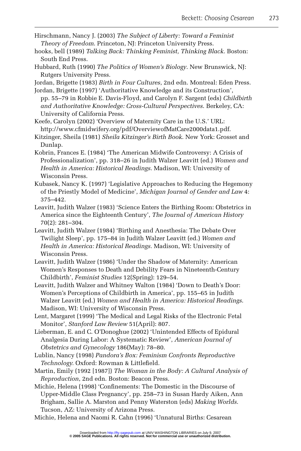- Hirschmann, Nancy J. (2003) *The Subject of Liberty: Toward a Feminist Theory of Freedom*. Princeton, NJ: Princeton University Press.
- hooks, bell (1989) *Talking Back: Thinking Feminist, Thinking Black.* Boston: South End Press.
- Hubbard, Ruth (1990) *The Politics of Women's Biology*. New Brunswick, NJ: Rutgers University Press.

Jordan, Brigette (1983) *Birth in Four Cultures*, 2nd edn. Montreal: Eden Press. Jordan, Brigette (1997) 'Authoritative Knowledge and its Construction',

- pp. 55–79 in Robbie E. Davis-Floyd, and Carolyn F. Sargent (eds) *Childbirth and Authoritative Knowledge: Cross-Cultural Perspectives*. Berkeley, CA: University of California Press.
- Keefe, Carolyn (2002) 'Overview of Maternity Care in the U.S.' URL: http://www.cfmidwifery.org/pdf/OverviewofMatCare2000data1.pdf.
- Kitzinger, Sheila (1981) *Sheila Kitzinger's Birth Book*. New York: Grosset and Dunlap.
- Kobrin, Frances E. (1984) 'The American Midwife Controversy: A Crisis of Professionalization', pp. 318–26 in Judith Walzer Leavitt (ed.) *Women and Health in America: Historical Readings*. Madison, WI: University of Wisconsin Press.
- Kubasek, Nancy K. (1997) 'Legislative Approaches to Reducing the Hegemony of the Priestly Model of Medicine', *Michigan Journal of Gender and Law* 4: 375–442.
- Leavitt, Judith Walzer (1983) 'Science Enters the Birthing Room: Obstetrics in America since the Eighteenth Century', *The Journal of American History* 70(2): 281–304.
- Leavitt, Judith Walzer (1984) 'Birthing and Anesthesia: The Debate Over Twilight Sleep', pp. 175–84 in Judith Walzer Leavitt (ed.) *Women and Health in America: Historical Readings.* Madison, WI: University of Wisconsin Press.
- Leavitt, Judith Walzer (1986) 'Under the Shadow of Maternity: American Women's Responses to Death and Debility Fears in Nineteenth-Century Childbirth', *Feminist Studies* 12(Spring): 129–54.
- Leavitt, Judith Walzer and Whitney Walton (1984) 'Down to Death's Door: Women's Perceptions of Childbirth in America', pp. 155–65 in Judith Walzer Leavitt (ed.) *Women and Health in America: Historical Readings*. Madison, WI: University of Wisconsin Press.
- Lent, Margaret (1999) 'The Medical and Legal Risks of the Electronic Fetal Monitor', *Stanford Law Review* 51(April): 807.
- Lieberman, E. and C. O'Donoghue (2002) 'Unintended Effects of Epidural Analgesia During Labor: A Systematic Review', *American Journal of Obstetrics and Gynecology* 186(May): 78–80.
- Lublin, Nancy (1998) *Pandora's Box: Feminism Confronts Reproductive Technology.* Oxford: Rowman & Littlefield.
- Martin, Emily (1992 [1987]) *The Woman in the Body: A Cultural Analysis of Reproduction*, 2nd edn. Boston: Beacon Press.
- Michie, Helena (1998) 'Confinements: The Domestic in the Discourse of Upper-Middle Class Pregnancy', pp. 258–73 in Susan Hardy Aiken, Ann Brigham, Sallie A. Marston and Penny Waterston (eds) *Making Worlds*. Tucson, AZ: University of Arizona Press.

Michie, Helena and Naomi R. Cahn (1996) 'Unnatural Births: Cesarean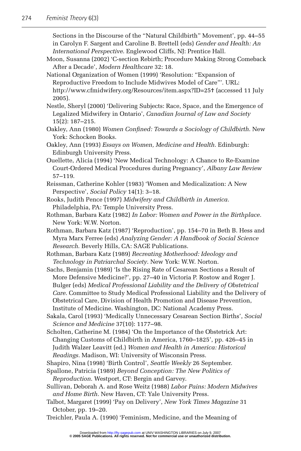Sections in the Discourse of the "Natural Childbirth" Movement', pp. 44–55 in Carolyn F. Sargent and Caroline B. Brettell (eds) *Gender and Health: An International Perspective*. Englewood Cliffs, NJ: Prentice Hall.

- Moon, Susanna (2002) 'C-section Rebirth; Procedure Making Strong Comeback After a Decade', *Modern Healthcare* 32: 18.
- National Organization of Women (1999) 'Resolution: "Expansion of Reproductive Freedom to Include Midwives Model of Care"'. URL: http://www.cfmidwifery.org/Resources/item.aspx?ID=25† (accessed 11 July 2005).
- Nestle, Sheryl (2000) 'Delivering Subjects: Race, Space, and the Emergence of Legalized Midwifery in Ontario', *Canadian Journal of Law and Society* 15(2): 187–215.
- Oakley, Ann (1980) *Women Confined: Towards a Sociology of Childbirth*. New York: Schocken Books.
- Oakley, Ann (1993) *Essays on Women, Medicine and Health*. Edinburgh: Edinburgh University Press.
- Ouellette, Alicia (1994) 'New Medical Technology: A Chance to Re-Examine Court-Ordered Medical Procedures during Pregnancy', *Albany Law Review* 57–119.
- Reissman, Catherine Kohler (1983) 'Women and Medicalization: A New Perspective', *Social Policy* 14(1): 3–18.
- Rooks, Judith Pence (1997) *Midwifery and Childbirth in America.* Philadelphia, PA: Temple University Press.
- Rothman, Barbara Katz (1982) *In Labor: Women and Power in the Birthplace.* New York: W.W. Norton.
- Rothman, Barbara Katz (1987) 'Reproduction', pp. 154–70 in Beth B. Hess and Myra Marx Ferree (eds) *Analyzing Gender: A Handbook of Social Science Research*. Beverly Hills, CA: SAGE Publications.
- Rothman, Barbara Katz (1989) *Recreating Motherhood: Ideology and Technology in Patriarchal Society*. New York: W.W. Norton.
- Sachs, Benjamin (1989) 'Is the Rising Rate of Cesarean Sections a Result of More Defensive Medicine?', pp. 27–40 in Victoria P. Rostow and Roger J. Bulger (eds) *Medical Professional Liability and the Delivery of Obstetrical Care*. Committee to Study Medical Professional Liability and the Delivery of Obstetrical Care, Division of Health Promotion and Disease Prevention, Institute of Medicine. Washington, DC: National Academy Press.
- Sakala, Carol (1993) 'Medically Unnecessary Cesarean Section Births', *Social Science and Medicine* 37(10): 1177–98.
- Scholten, Catherine M. (1984) 'On the Importance of the Obstetrick Art: Changing Customs of Childbirth in America, 1760–1825', pp. 426–45 in Judith Walzer Leavitt (ed.) *Women and Health in America: Historical Readings.* Madison, WI: University of Wisconsin Press.
- Shapiro, Nina (1998) 'Birth Control', *Seattle Weekly* 26 September.
- Spallone, Patricia (1989) *Beyond Conception: The New Politics of Reproduction*. Westport, CT: Bergin and Garvey.
- Sullivan, Deborah A. and Rose Weitz (1988) *Labor Pains: Modern Midwives and Home Birth*. New Haven, CT: Yale University Press.
- Talbot, Margaret (1999) 'Pay on Delivery', *New York Times Magazine* 31 October, pp. 19–20.
- Treichler, Paula A. (1990) 'Feminism, Medicine, and the Meaning of